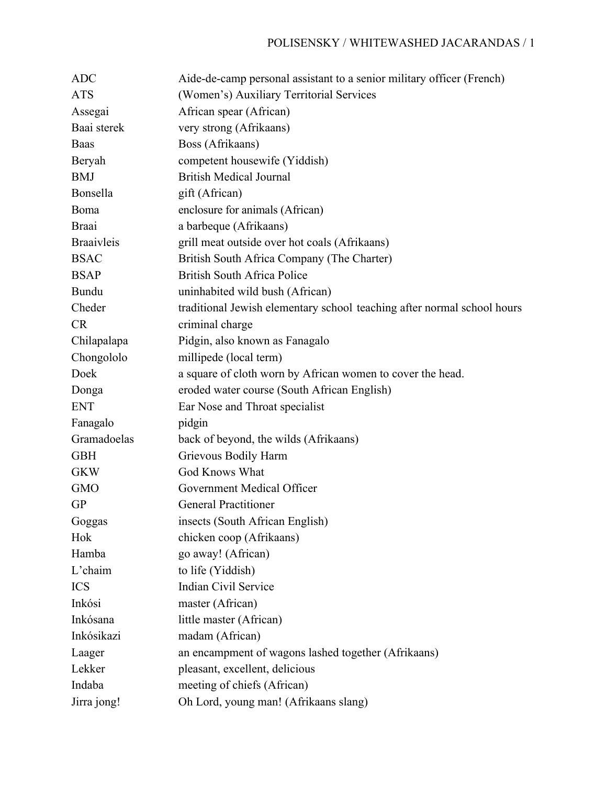## POLISENSKY / WHITEWASHED JACARANDAS / 1

| <b>ADC</b>        | Aide-de-camp personal assistant to a senior military officer (French)   |
|-------------------|-------------------------------------------------------------------------|
| <b>ATS</b>        | (Women's) Auxiliary Territorial Services                                |
| Assegai           | African spear (African)                                                 |
| Baai sterek       | very strong (Afrikaans)                                                 |
| Baas              | Boss (Afrikaans)                                                        |
| Beryah            | competent housewife (Yiddish)                                           |
| <b>BMJ</b>        | <b>British Medical Journal</b>                                          |
| Bonsella          | gift (African)                                                          |
| Boma              | enclosure for animals (African)                                         |
| <b>Braai</b>      | a barbeque (Afrikaans)                                                  |
| <b>Braaivleis</b> | grill meat outside over hot coals (Afrikaans)                           |
| <b>BSAC</b>       | British South Africa Company (The Charter)                              |
| <b>BSAP</b>       | <b>British South Africa Police</b>                                      |
| Bundu             | uninhabited wild bush (African)                                         |
| Cheder            | traditional Jewish elementary school teaching after normal school hours |
| <b>CR</b>         | criminal charge                                                         |
| Chilapalapa       | Pidgin, also known as Fanagalo                                          |
| Chongololo        | millipede (local term)                                                  |
| Doek              | a square of cloth worn by African women to cover the head.              |
| Donga             | eroded water course (South African English)                             |
| <b>ENT</b>        | Ear Nose and Throat specialist                                          |
| Fanagalo          | pidgin                                                                  |
| Gramadoelas       | back of beyond, the wilds (Afrikaans)                                   |
| <b>GBH</b>        | Grievous Bodily Harm                                                    |
| <b>GKW</b>        | <b>God Knows What</b>                                                   |
| <b>GMO</b>        | Government Medical Officer                                              |
| <b>GP</b>         | <b>General Practitioner</b>                                             |
| Goggas            | insects (South African English)                                         |
| Hok               | chicken coop (Afrikaans)                                                |
| Hamba             | go away! (African)                                                      |
| L'chaim           | to life (Yiddish)                                                       |
| <b>ICS</b>        | Indian Civil Service                                                    |
| Inkósi            | master (African)                                                        |
| Inkósana          | little master (African)                                                 |
| Inkósikazi        | madam (African)                                                         |
| Laager            | an encampment of wagons lashed together (Afrikaans)                     |
| Lekker            | pleasant, excellent, delicious                                          |
| Indaba            | meeting of chiefs (African)                                             |
| Jirra jong!       | Oh Lord, young man! (Afrikaans slang)                                   |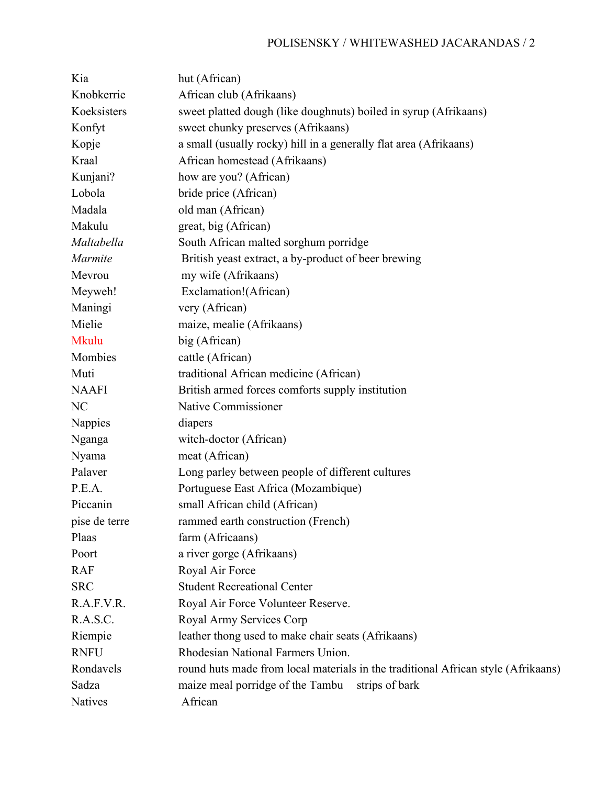## POLISENSKY / WHITEWASHED JACARANDAS / 2

| Kia           | hut (African)                                                                     |
|---------------|-----------------------------------------------------------------------------------|
| Knobkerrie    | African club (Afrikaans)                                                          |
| Koeksisters   | sweet platted dough (like doughnuts) boiled in syrup (Afrikaans)                  |
| Konfyt        | sweet chunky preserves (Afrikaans)                                                |
| Kopje         | a small (usually rocky) hill in a generally flat area (Afrikaans)                 |
| Kraal         | African homestead (Afrikaans)                                                     |
| Kunjani?      | how are you? (African)                                                            |
| Lobola        | bride price (African)                                                             |
| Madala        | old man (African)                                                                 |
| Makulu        | great, big (African)                                                              |
| Maltabella    | South African malted sorghum porridge                                             |
| Marmite       | British yeast extract, a by-product of beer brewing                               |
| Mevrou        | my wife (Afrikaans)                                                               |
| Meyweh!       | Exclamation!(African)                                                             |
| Maningi       | very (African)                                                                    |
| Mielie        | maize, mealie (Afrikaans)                                                         |
| Mkulu         | big (African)                                                                     |
| Mombies       | cattle (African)                                                                  |
| Muti          | traditional African medicine (African)                                            |
| <b>NAAFI</b>  | British armed forces comforts supply institution                                  |
| NC            | Native Commissioner                                                               |
| Nappies       | diapers                                                                           |
| Nganga        | witch-doctor (African)                                                            |
| Nyama         | meat (African)                                                                    |
| Palaver       | Long parley between people of different cultures                                  |
| P.E.A.        | Portuguese East Africa (Mozambique)                                               |
| Piccanin      | small African child (African)                                                     |
| pise de terre | rammed earth construction (French)                                                |
| Plaas         | farm (Africaans)                                                                  |
| Poort         | a river gorge (Afrikaans)                                                         |
| <b>RAF</b>    | Royal Air Force                                                                   |
| <b>SRC</b>    | <b>Student Recreational Center</b>                                                |
| R.A.F.V.R.    | Royal Air Force Volunteer Reserve.                                                |
| R.A.S.C.      | Royal Army Services Corp                                                          |
| Riempie       | leather thong used to make chair seats (Afrikaans)                                |
| <b>RNFU</b>   | Rhodesian National Farmers Union.                                                 |
| Rondavels     | round huts made from local materials in the traditional African style (Afrikaans) |
| Sadza         | maize meal porridge of the Tambu<br>strips of bark                                |
| Natives       | African                                                                           |